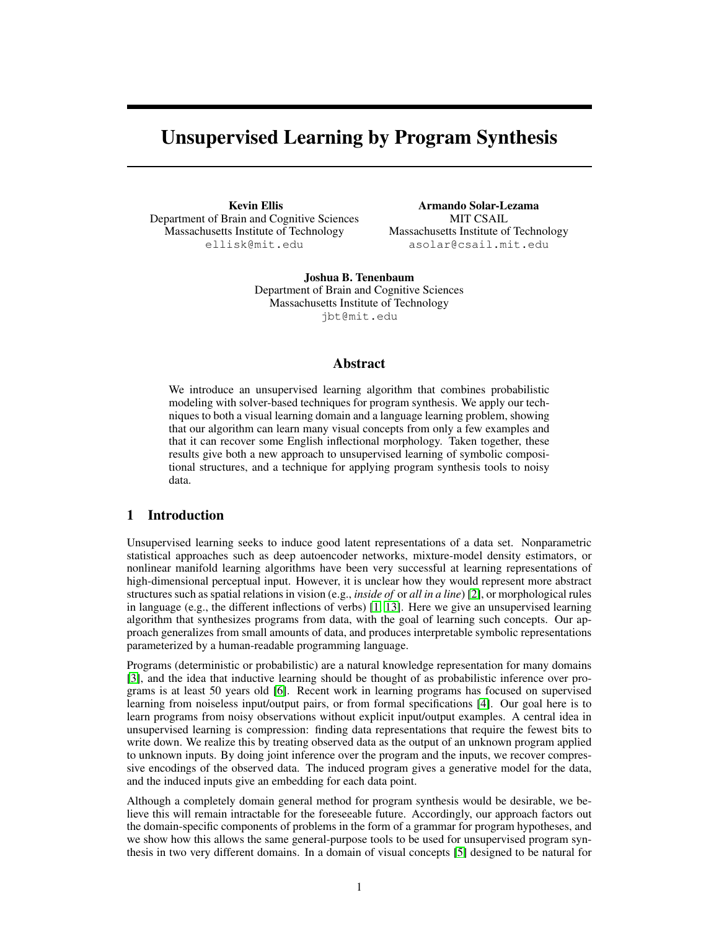# Unsupervised Learning by Program Synthesis

Kevin Ellis Department of Brain and Cognitive Sciences Massachusetts Institute of Technology ellisk@mit.edu

Armando Solar-Lezama MIT CSAIL Massachusetts Institute of Technology asolar@csail.mit.edu

Joshua B. Tenenbaum Department of Brain and Cognitive Sciences Massachusetts Institute of Technology jbt@mit.edu

## Abstract

We introduce an unsupervised learning algorithm that combines probabilistic modeling with solver-based techniques for program synthesis. We apply our techniques to both a visual learning domain and a language learning problem, showing that our algorithm can learn many visual concepts from only a few examples and that it can recover some English inflectional morphology. Taken together, these results give both a new approach to unsupervised learning of symbolic compositional structures, and a technique for applying program synthesis tools to noisy data.

# 1 Introduction

Unsupervised learning seeks to induce good latent representations of a data set. Nonparametric statistical approaches such as deep autoencoder networks, mixture-model density estimators, or nonlinear manifold learning algorithms have been very successful at learning representations of high-dimensional perceptual input. However, it is unclear how they would represent more abstract structures such as spatial relations in vision (e.g., *inside of* or *all in a line*) [2], or morphological rules in language (e.g., the different inflections of verbs) [1, 13]. Here we give an unsupervised learning algorithm that synthesizes programs from data, with the goal of learning such concepts. Our approach generalizes from small amounts of data, and produces interpretable symbolic representations parameterized by a human-readable programming language.

Programs (deterministic or probabilistic) are a natural knowledge representation for many domains [3], and the idea that inductive learning should be thought of as probabilistic inference over programs is at least 50 years old [6]. Recent work in learning programs has focused on supervised learning from noiseless input/output pairs, or from formal specifications [4]. Our goal here is to learn programs from noisy observations without explicit input/output examples. A central idea in unsupervised learning is compression: finding data representations that require the fewest bits to write down. We realize this by treating observed data as the output of an unknown program applied to unknown inputs. By doing joint inference over the program and the inputs, we recover compressive encodings of the observed data. The induced program gives a generative model for the data, and the induced inputs give an embedding for each data point.

Although a completely domain general method for program synthesis would be desirable, we believe this will remain intractable for the foreseeable future. Accordingly, our approach factors out the domain-specific components of problems in the form of a grammar for program hypotheses, and we show how this allows the same general-purpose tools to be used for unsupervised program synthesis in two very different domains. In a domain of visual concepts [5] designed to be natural for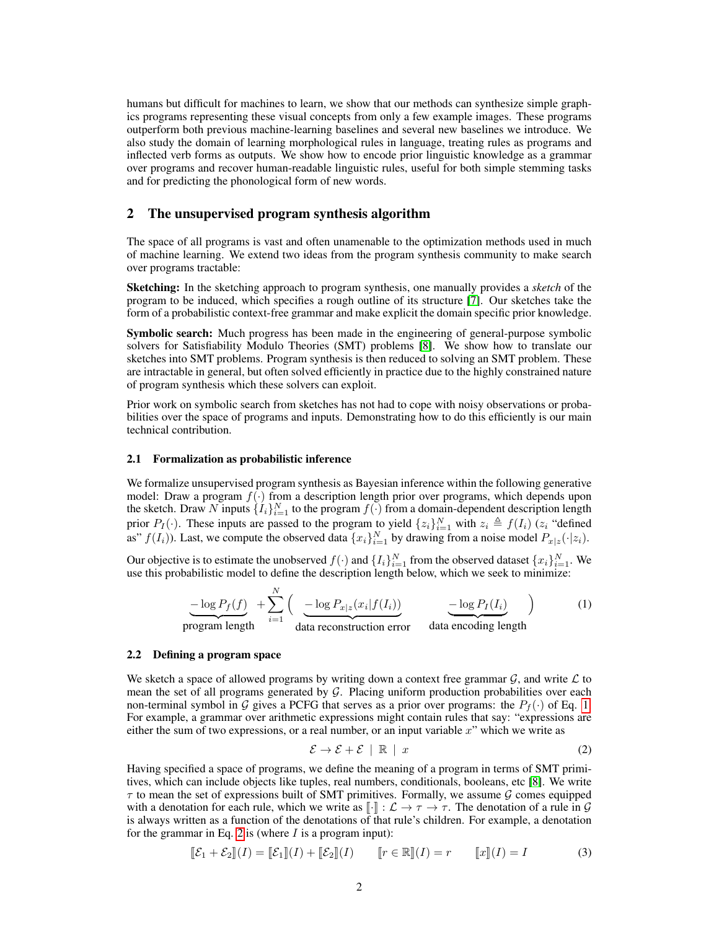humans but difficult for machines to learn, we show that our methods can synthesize simple graphics programs representing these visual concepts from only a few example images. These programs outperform both previous machine-learning baselines and several new baselines we introduce. We also study the domain of learning morphological rules in language, treating rules as programs and inflected verb forms as outputs. We show how to encode prior linguistic knowledge as a grammar over programs and recover human-readable linguistic rules, useful for both simple stemming tasks and for predicting the phonological form of new words.

## 2 The unsupervised program synthesis algorithm

The space of all programs is vast and often unamenable to the optimization methods used in much of machine learning. We extend two ideas from the program synthesis community to make search over programs tractable:

Sketching: In the sketching approach to program synthesis, one manually provides a *sketch* of the program to be induced, which specifies a rough outline of its structure [7]. Our sketches take the form of a probabilistic context-free grammar and make explicit the domain specific prior knowledge.

**Symbolic search:** Much progress has been made in the engineering of general-purpose symbolic solvers for Satisfiability Modulo Theories (SMT) problems [8]. We show how to translate our sketches into SMT problems. Program synthesis is then reduced to solving an SMT problem. These are intractable in general, but often solved efficiently in practice due to the highly constrained nature of program synthesis which these solvers can exploit.

Prior work on symbolic search from sketches has not had to cope with noisy observations or probabilities over the space of programs and inputs. Demonstrating how to do this efficiently is our main technical contribution.

#### 2.1 Formalization as probabilistic inference

We formalize unsupervised program synthesis as Bayesian inference within the following generative model: Draw a program  $f(\cdot)$  from a description length prior over programs, which depends upon the sketch. Draw N inputs  $\{I_i\}_{i=1}^N$  to the program  $f(\cdot)$  from a domain-dependent description length prior  $P_I(\cdot)$ . These inputs are passed to the program to yield  $\{z_i\}_{i=1}^N$  with  $z_i \triangleq f(I_i)$  ( $z_i$  "defined as"  $f(I_i)$ ). Last, we compute the observed data  $\{x_i\}_{i=1}^N$  by drawing from a noise model  $P_{x|z}(\cdot|z_i)$ .

Our objective is to estimate the unobserved  $f(\cdot)$  and  $\{I_i\}_{i=1}^N$  from the observed dataset  $\{x_i\}_{i=1}^N$ . We use this probabilistic model to define the description length below, which we seek to minimize:

$$
-\log P_f(f) + \sum_{i=1}^{N} \left( \frac{-\log P_{x|z}(x_i|f(I_i))}{\text{data reconstruction error}} \frac{-\log P_I(I_i)}{\text{data encoding length}} \right) \tag{1}
$$

#### 2.2 Defining a program space

We sketch a space of allowed programs by writing down a context free grammar  $G$ , and write  $\mathcal L$  to mean the set of all programs generated by G. Placing uniform production probabilities over each non-terminal symbol in G gives a PCFG that serves as a prior over programs: the  $P_f(\cdot)$  of Eq. 1. For example, a grammar over arithmetic expressions might contain rules that say: "expressions are either the sum of two expressions, or a real number, or an input variable  $x$ " which we write as

$$
\mathcal{E} \to \mathcal{E} + \mathcal{E} \parallel \mathbb{R} \parallel x \tag{2}
$$

Having specified a space of programs, we define the meaning of a program in terms of SMT primitives, which can include objects like tuples, real numbers, conditionals, booleans, etc [8]. We write  $\tau$  to mean the set of expressions built of SMT primitives. Formally, we assume G comes equipped with a denotation for each rule, which we write as  $\llbracket \cdot \rrbracket : \mathcal{L} \to \tau \to \tau$ . The denotation of a rule in  $\mathcal{G}$ is always written as a function of the denotations of that rule's children. For example, a denotation for the grammar in Eq. 2 is (where  $I$  is a program input):

$$
\llbracket \mathcal{E}_1 + \mathcal{E}_2 \rrbracket(I) = \llbracket \mathcal{E}_1 \rrbracket(I) + \llbracket \mathcal{E}_2 \rrbracket(I) \qquad \llbracket r \in \mathbb{R} \rrbracket(I) = r \qquad \llbracket x \rrbracket(I) = I \tag{3}
$$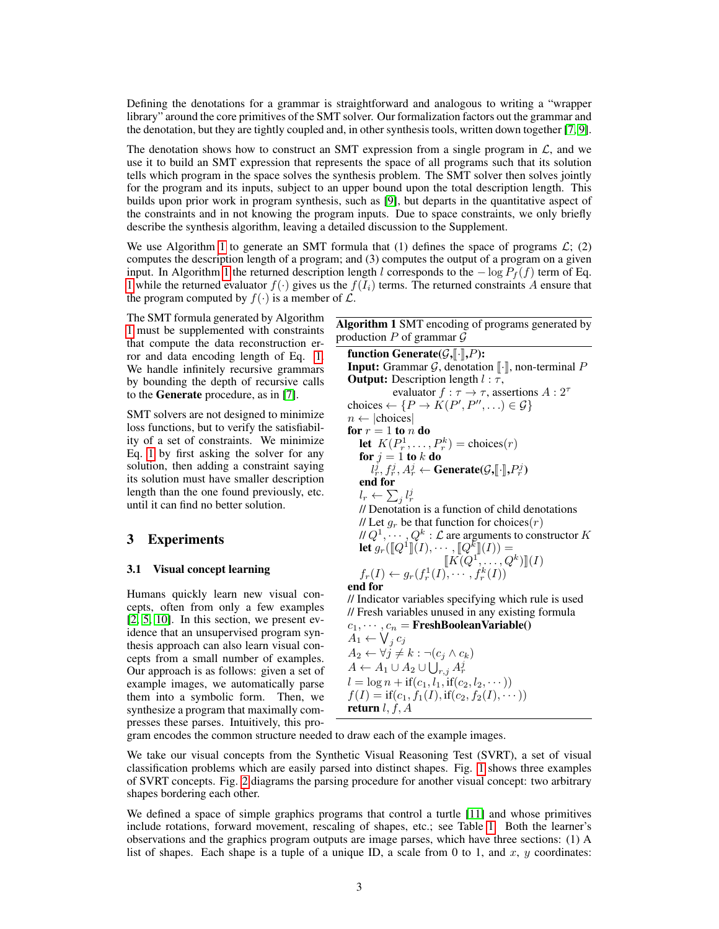Defining the denotations for a grammar is straightforward and analogous to writing a "wrapper library" around the core primitives of the SMT solver. Our formalization factors out the grammar and the denotation, but they are tightly coupled and, in other synthesis tools, written down together [7, 9].

The denotation shows how to construct an SMT expression from a single program in  $\mathcal{L}$ , and we use it to build an SMT expression that represents the space of all programs such that its solution tells which program in the space solves the synthesis problem. The SMT solver then solves jointly for the program and its inputs, subject to an upper bound upon the total description length. This builds upon prior work in program synthesis, such as [9], but departs in the quantitative aspect of the constraints and in not knowing the program inputs. Due to space constraints, we only briefly describe the synthesis algorithm, leaving a detailed discussion to the Supplement.

We use Algorithm 1 to generate an SMT formula that (1) defines the space of programs  $\mathcal{L}$ ; (2) computes the description length of a program; and (3) computes the output of a program on a given input. In Algorithm 1 the returned description length l corresponds to the  $-\log P_f(f)$  term of Eq. 1 while the returned evaluator  $f(\cdot)$  gives us the  $f(I_i)$  terms. The returned constraints A ensure that the program computed by  $f(\cdot)$  is a member of  $\mathcal{L}$ .

The SMT formula generated by Algorithm 1 must be supplemented with constraints that compute the data reconstruction error and data encoding length of Eq. 1. We handle infinitely recursive grammars by bounding the depth of recursive calls to the Generate procedure, as in [7].

SMT solvers are not designed to minimize loss functions, but to verify the satisfiability of a set of constraints. We minimize Eq. 1 by first asking the solver for any solution, then adding a constraint saying its solution must have smaller description length than the one found previously, etc. until it can find no better solution.

# 3 Experiments

## 3.1 Visual concept learning

Humans quickly learn new visual concepts, often from only a few examples [2, 5, 10]. In this section, we present evidence that an unsupervised program synthesis approach can also learn visual concepts from a small number of examples. Our approach is as follows: given a set of example images, we automatically parse them into a symbolic form. Then, we synthesize a program that maximally compresses these parses. Intuitively, this pro-

| <b>Algorithm 1</b> SMT encoding of programs generated by<br>production P of grammar $\mathcal G$ |
|--------------------------------------------------------------------------------------------------|
| function Generate( $\mathcal{G}, \llbracket \cdot \rrbracket, P$ ):                              |
| <b>Input:</b> Grammar $\mathcal{G}$ , denotation $\lbrack \cdot \rbrack$ , non-terminal P        |
| <b>Output:</b> Description length $l : \tau$ ,                                                   |
| evaluator $f : \tau \to \tau$ , assertions $A : 2^{\tau}$                                        |
| choices $\leftarrow \{P \rightarrow K(P', P'', \ldots) \in \mathcal{G}\}\$                       |
| $n \leftarrow  choices $                                                                         |
| for $r = 1$ to n do                                                                              |
| let $K(P_r^1, \ldots, P_r^k)$ = choices( <i>r</i> )                                              |
| for $j=1$ to k do                                                                                |
| $l_r^j, f_r^j, A_r^j \leftarrow$ Generate( $\mathcal{G}, \llbracket \cdot \rrbracket, P_r^j$ )   |
| end for                                                                                          |
| $l_r \leftarrow \sum_i l_r^j$                                                                    |
| // Denotation is a function of child denotations                                                 |
| // Let $g_r$ be that function for choices $(r)$                                                  |
| // $Q^1, \cdots, Q^k : \mathcal{L}$ are arguments to constructor $K$                             |
| let $g_r([Q^1](I), \dots, [Q^k](I)) =$                                                           |
| $\llbracket K(Q^1,\ldots,Q^k)\rrbracket(I)$                                                      |
| $f_r(I) \leftarrow g_r(f_r^1(I), \cdots, f_r^k(I))$                                              |
| end for                                                                                          |
| // Indicator variables specifying which rule is used                                             |
| // Fresh variables unused in any existing formula                                                |
| $c_1, \cdots, c_n$ = FreshBooleanVariable()                                                      |
| $A_1 \leftarrow \bigvee_i c_j$                                                                   |
| $A_2 \leftarrow \forall i \neq k \cdot \neg(c_i \wedge c_k)$                                     |

 $A_2 \leftarrow \forall j \neq k : \neg(c_j \wedge c_k)$  $A \leftarrow A_1 \cup A_2 \cup \bigcup_{r,j} A_r^j$  $l = \log n + \text{if}(c_1, l_1, \text{if}(c_2, l_2, \dots))$  $f(I) = \text{if}(c_1, f_1(I), \text{if}(c_2, f_2(I), \dots))$ return  $l, f, A$ 

gram encodes the common structure needed to draw each of the example images.

We take our visual concepts from the Synthetic Visual Reasoning Test (SVRT), a set of visual classification problems which are easily parsed into distinct shapes. Fig. 1 shows three examples of SVRT concepts. Fig. 2 diagrams the parsing procedure for another visual concept: two arbitrary shapes bordering each other.

We defined a space of simple graphics programs that control a turtle [11] and whose primitives include rotations, forward movement, rescaling of shapes, etc.; see Table 1. Both the learner's observations and the graphics program outputs are image parses, which have three sections: (1) A list of shapes. Each shape is a tuple of a unique ID, a scale from 0 to 1, and  $x$ ,  $y$  coordinates: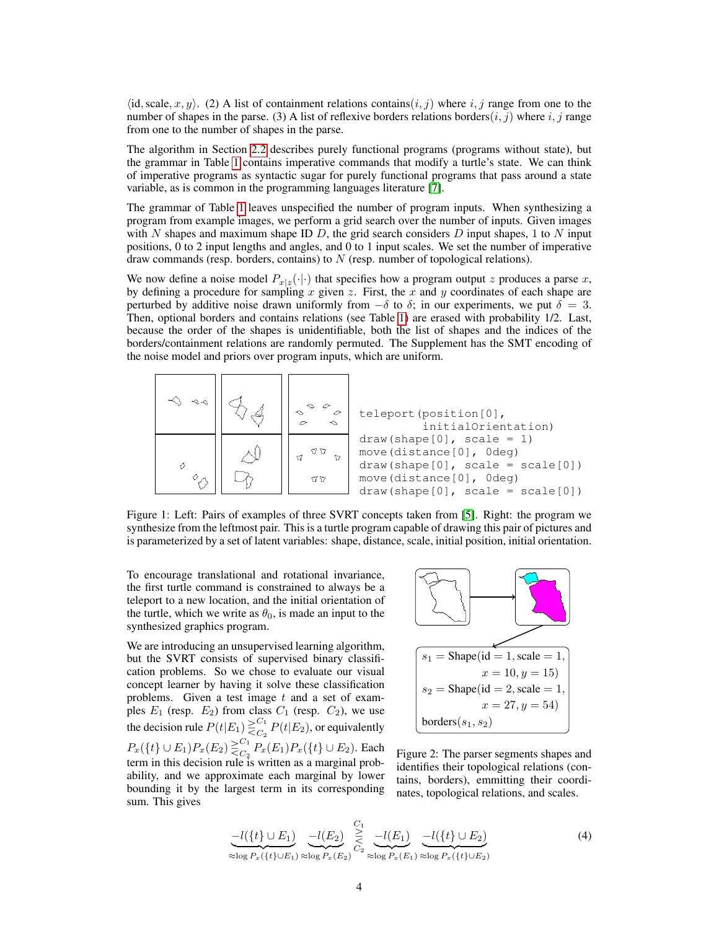$\langle$ id, scale, x, y $\rangle$ . (2) A list of containment relations contains $(i, j)$  where i, j range from one to the number of shapes in the parse. (3) A list of reflexive borders relations borders $(i, j)$  where  $i, j$  range from one to the number of shapes in the parse.

The algorithm in Section 2.2 describes purely functional programs (programs without state), but the grammar in Table 1 contains imperative commands that modify a turtle's state. We can think of imperative programs as syntactic sugar for purely functional programs that pass around a state variable, as is common in the programming languages literature [7].

The grammar of Table 1 leaves unspecified the number of program inputs. When synthesizing a program from example images, we perform a grid search over the number of inputs. Given images with N shapes and maximum shape ID D, the grid search considers D input shapes, 1 to N input positions, 0 to 2 input lengths and angles, and 0 to 1 input scales. We set the number of imperative draw commands (resp. borders, contains) to  $N$  (resp. number of topological relations).

We now define a noise model  $P_{x|z}(\cdot|\cdot)$  that specifies how a program output z produces a parse x, by defining a procedure for sampling x given z. First, the x and y coordinates of each shape are perturbed by additive noise drawn uniformly from  $-\delta$  to  $\delta$ ; in our experiments, we put  $\delta = 3$ . Then, optional borders and contains relations (see Table 1) are erased with probability 1/2. Last, because the order of the shapes is unidentifiable, both the list of shapes and the indices of the borders/containment relations are randomly permuted. The Supplement has the SMT encoding of the noise model and priors over program inputs, which are uniform.



Figure 1: Left: Pairs of examples of three SVRT concepts taken from [5]. Right: the program we synthesize from the leftmost pair. This is a turtle program capable of drawing this pair of pictures and is parameterized by a set of latent variables: shape, distance, scale, initial position, initial orientation.

To encourage translational and rotational invariance, the first turtle command is constrained to always be a teleport to a new location, and the initial orientation of the turtle, which we write as  $\theta_0$ , is made an input to the synthesized graphics program.

We are introducing an unsupervised learning algorithm, but the SVRT consists of supervised binary classification problems. So we chose to evaluate our visual concept learner by having it solve these classification problems. Given a test image  $t$  and a set of examples  $E_1$  (resp.  $E_2$ ) from class  $C_1$  (resp.  $C_2$ ), we use the decision rule  $P(t|E_1) \geq C_1$  $C_2^{\text{T}} P(t|E_2)$ , or equivalently  $P_x({t \in E_1) P_x(E_2) \geq C_1}$  $C_2^{C_1} P_x(E_1) P_x(\lbrace t \rbrace \cup E_2)$ . Each term in this decision rule is written as a marginal probability, and we approximate each marginal by lower bounding it by the largest term in its corresponding sum. This gives



Figure 2: The parser segments shapes and identifies their topological relations (contains, borders), emmitting their coordinates, topological relations, and scales.

$$
\underbrace{-l(\{t\} \cup E_1)}_{\approx \log P_x(\{t\} \cup E_1)} \underbrace{-l(E_2)}_{\approx \log P_x(E_2)} \underbrace{\geq}_{C_2} \underbrace{-l(E_1)}_{\approx \log P_x(E_1)} \underbrace{-l(\{t\} \cup E_2)}_{\approx \log P_x(\{t\} \cup E_2)} \tag{4}
$$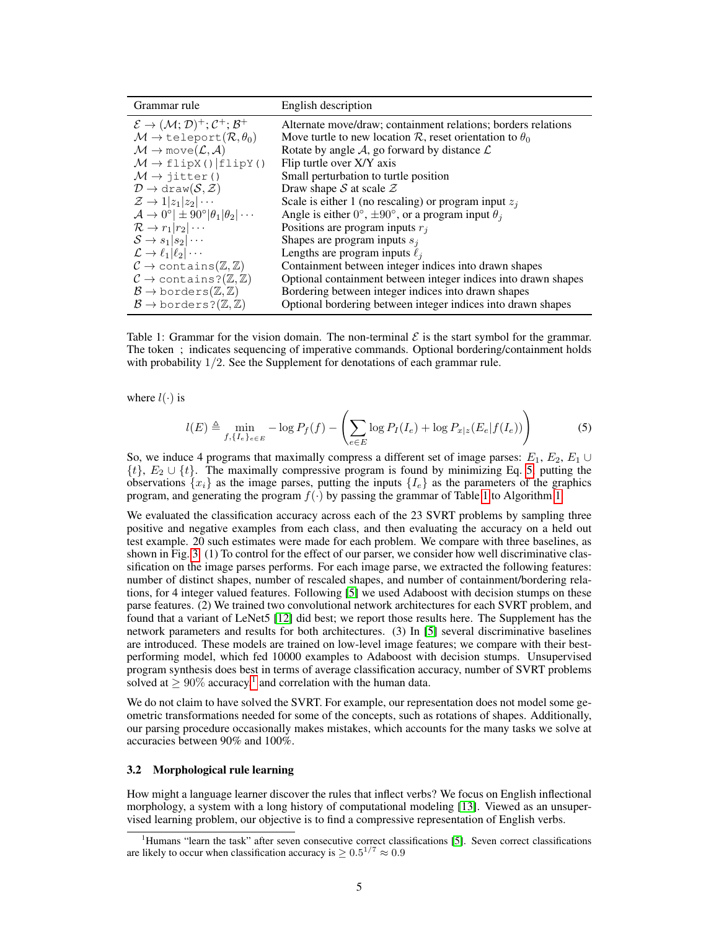| Grammar rule                                                                                                                                     | English description                                                                                                             |
|--------------------------------------------------------------------------------------------------------------------------------------------------|---------------------------------------------------------------------------------------------------------------------------------|
| $\mathcal{E} \rightarrow (\mathcal{M}; \mathcal{D})^+; \mathcal{C}^+; \mathcal{B}^+$<br>$\mathcal{M} \to \text{teleport}(\mathcal{R}, \theta_0)$ | Alternate move/draw; containment relations; borders relations<br>Move turtle to new location R, reset orientation to $\theta_0$ |
| $\mathcal{M} \to \text{move}(\mathcal{L}, \mathcal{A})$                                                                                          | Rotate by angle A, go forward by distance $\mathcal{L}$                                                                         |
| $M \rightarrow$ flipX()   flipY()                                                                                                                | Flip turtle over X/Y axis                                                                                                       |
| $M \rightarrow \text{jitter}()$                                                                                                                  | Small perturbation to turtle position                                                                                           |
| $\mathcal{D} \to \text{draw}(\mathcal{S}, \mathcal{Z})$                                                                                          | Draw shape S at scale $\mathcal Z$                                                                                              |
| $\mathcal{Z} \to 1 z_1 z_2 \cdots$                                                                                                               | Scale is either 1 (no rescaling) or program input $z_j$                                                                         |
| $\mathcal{A} \rightarrow 0^{\circ}$   $\pm 90^{\circ}$   $\theta_1$   $\theta_2$   $\cdots$                                                      | Angle is either $0^{\circ}$ , $\pm 90^{\circ}$ , or a program input $\theta_i$                                                  |
| $\mathcal{R} \rightarrow r_1   r_2   \cdots$                                                                                                     | Positions are program inputs $r_i$                                                                                              |
| $S \rightarrow s_1 s_2 \cdots$                                                                                                                   | Shapes are program inputs $s_i$                                                                                                 |
| $\mathcal{L} \to \ell_1  \ell_2  \cdots$                                                                                                         | Lengths are program inputs $\ell_i$                                                                                             |
| $\mathcal{C} \to$ contains( $\mathbb{Z}, \mathbb{Z}$ )                                                                                           | Containment between integer indices into drawn shapes                                                                           |
| $\mathcal{C} \rightarrow$ contains?( $\mathbb{Z}, \mathbb{Z}$ )                                                                                  | Optional containment between integer indices into drawn shapes                                                                  |
| $\mathcal{B} \to$ borders $(\mathbb{Z}, \mathbb{Z})$                                                                                             | Bordering between integer indices into drawn shapes                                                                             |
| $\mathcal{B} \to$ borders? $(\mathbb{Z}, \mathbb{Z})$                                                                                            | Optional bordering between integer indices into drawn shapes                                                                    |

Table 1: Grammar for the vision domain. The non-terminal  $\mathcal E$  is the start symbol for the grammar. The token ; indicates sequencing of imperative commands. Optional bordering/containment holds with probability  $1/2$ . See the Supplement for denotations of each grammar rule.

where  $l(\cdot)$  is

$$
l(E) \triangleq \min_{f,\{I_e\}_{e\in E}} -\log P_f(f) - \left(\sum_{e\in E} \log P_I(I_e) + \log P_{x|z}(E_e|f(I_e))\right) \tag{5}
$$

So, we induce 4 programs that maximally compress a different set of image parses:  $E_1, E_2, E_1 \cup$  $\{t\}$ ,  $E_2 \cup \{t\}$ . The maximally compressive program is found by minimizing Eq. 5, putting the observations  ${x_i}$  as the image parses, putting the inputs  ${I_e}$  as the parameters of the graphics program, and generating the program  $f(\cdot)$  by passing the grammar of Table 1 to Algorithm 1.

We evaluated the classification accuracy across each of the 23 SVRT problems by sampling three positive and negative examples from each class, and then evaluating the accuracy on a held out test example. 20 such estimates were made for each problem. We compare with three baselines, as shown in Fig. 3. (1) To control for the effect of our parser, we consider how well discriminative classification on the image parses performs. For each image parse, we extracted the following features: number of distinct shapes, number of rescaled shapes, and number of containment/bordering relations, for 4 integer valued features. Following [5] we used Adaboost with decision stumps on these parse features. (2) We trained two convolutional network architectures for each SVRT problem, and found that a variant of LeNet5 [12] did best; we report those results here. The Supplement has the network parameters and results for both architectures. (3) In [5] several discriminative baselines are introduced. These models are trained on low-level image features; we compare with their bestperforming model, which fed 10000 examples to Adaboost with decision stumps. Unsupervised program synthesis does best in terms of average classification accuracy, number of SVRT problems solved at  $\geq 90\%$  accuracy,<sup>1</sup> and correlation with the human data.

We do not claim to have solved the SVRT. For example, our representation does not model some geometric transformations needed for some of the concepts, such as rotations of shapes. Additionally, our parsing procedure occasionally makes mistakes, which accounts for the many tasks we solve at accuracies between 90% and 100%.

#### 3.2 Morphological rule learning

How might a language learner discover the rules that inflect verbs? We focus on English inflectional morphology, a system with a long history of computational modeling [13]. Viewed as an unsupervised learning problem, our objective is to find a compressive representation of English verbs.

<sup>&</sup>lt;sup>1</sup>Humans "learn the task" after seven consecutive correct classifications [5]. Seven correct classifications are likely to occur when classification accuracy is  $\geq 0.5^{1/7} \approx 0.9$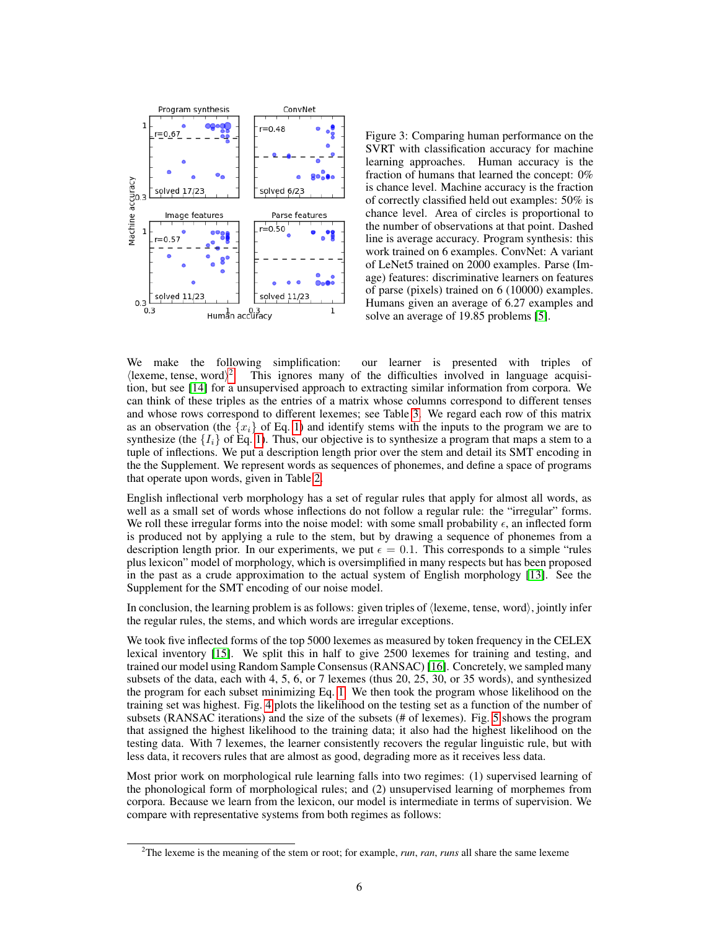

Figure 3: Comparing human performance on the SVRT with classification accuracy for machine learning approaches. Human accuracy is the fraction of humans that learned the concept: 0% is chance level. Machine accuracy is the fraction of correctly classified held out examples: 50% is chance level. Area of circles is proportional to the number of observations at that point. Dashed line is average accuracy. Program synthesis: this work trained on 6 examples. ConvNet: A variant of LeNet5 trained on 2000 examples. Parse (Image) features: discriminative learners on features of parse (pixels) trained on 6 (10000) examples. Humans given an average of 6.27 examples and solve an average of 19.85 problems [5].

We make the following simplification: our learner is presented with triples of  $\langle$ lexeme, tense, word $\rangle$ <sup>2</sup>. This ignores many of the difficulties involved in language acquisition, but see [14] for a unsupervised approach to extracting similar information from corpora. We can think of these triples as the entries of a matrix whose columns correspond to different tenses and whose rows correspond to different lexemes; see Table 3. We regard each row of this matrix as an observation (the  $\{x_i\}$  of Eq. 1) and identify stems with the inputs to the program we are to synthesize (the  $\{I_i\}$  of Eq. 1). Thus, our objective is to synthesize a program that maps a stem to a tuple of inflections. We put a description length prior over the stem and detail its SMT encoding in the the Supplement. We represent words as sequences of phonemes, and define a space of programs that operate upon words, given in Table 2.

English inflectional verb morphology has a set of regular rules that apply for almost all words, as well as a small set of words whose inflections do not follow a regular rule: the "irregular" forms. We roll these irregular forms into the noise model: with some small probability  $\epsilon$ , an inflected form is produced not by applying a rule to the stem, but by drawing a sequence of phonemes from a description length prior. In our experiments, we put  $\epsilon = 0.1$ . This corresponds to a simple "rules" plus lexicon" model of morphology, which is oversimplified in many respects but has been proposed in the past as a crude approximation to the actual system of English morphology [13]. See the Supplement for the SMT encoding of our noise model.

In conclusion, the learning problem is as follows: given triples of  $\langle$  lexeme, tense, word $\rangle$ , jointly infer the regular rules, the stems, and which words are irregular exceptions.

We took five inflected forms of the top 5000 lexemes as measured by token frequency in the CELEX lexical inventory [15]. We split this in half to give 2500 lexemes for training and testing, and trained our model using Random Sample Consensus (RANSAC) [16]. Concretely, we sampled many subsets of the data, each with 4, 5, 6, or 7 lexemes (thus 20, 25, 30, or 35 words), and synthesized the program for each subset minimizing Eq. 1. We then took the program whose likelihood on the training set was highest. Fig. 4 plots the likelihood on the testing set as a function of the number of subsets (RANSAC iterations) and the size of the subsets (# of lexemes). Fig. 5 shows the program that assigned the highest likelihood to the training data; it also had the highest likelihood on the testing data. With 7 lexemes, the learner consistently recovers the regular linguistic rule, but with less data, it recovers rules that are almost as good, degrading more as it receives less data.

Most prior work on morphological rule learning falls into two regimes: (1) supervised learning of the phonological form of morphological rules; and (2) unsupervised learning of morphemes from corpora. Because we learn from the lexicon, our model is intermediate in terms of supervision. We compare with representative systems from both regimes as follows:

<sup>2</sup>The lexeme is the meaning of the stem or root; for example, *run*, *ran*, *runs* all share the same lexeme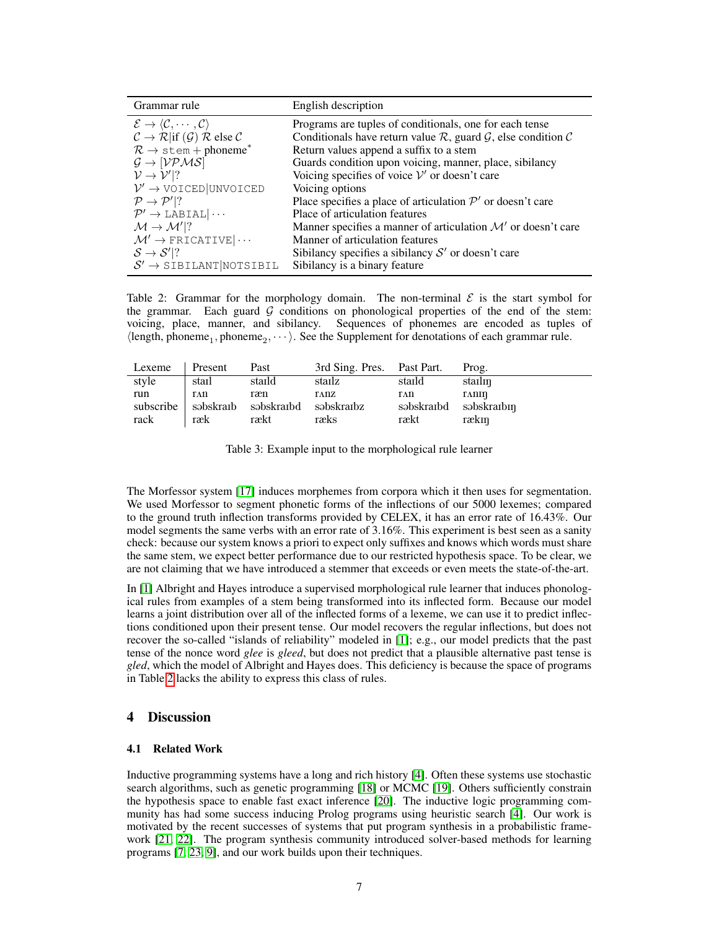| Grammar rule                                                                                                      | English description                                                                               |
|-------------------------------------------------------------------------------------------------------------------|---------------------------------------------------------------------------------------------------|
| $\mathcal{E} \rightarrow \langle \mathcal{C}, \cdots, \mathcal{C} \rangle$                                        | Programs are tuples of conditionals, one for each tense                                           |
| $\mathcal{C} \to \mathcal{R}$ and $\mathcal{C} \to \mathcal{R}$ if $(\mathcal{G}) \mathcal{R}$ else $\mathcal{C}$ | Conditionals have return value $\mathcal{R}$ , guard $\mathcal{G}$ , else condition $\mathcal{C}$ |
| $\mathcal{R} \rightarrow$ stem + phoneme <sup>*</sup>                                                             | Return values append a suffix to a stem                                                           |
| $\mathcal{G} \rightarrow [\mathcal{VPMS}]$                                                                        | Guards condition upon voicing, manner, place, sibilancy                                           |
| $V \rightarrow V' ?$                                                                                              | Voicing specifies of voice $V'$ or doesn't care                                                   |
| $\mathcal{V}' \rightarrow \text{VOICED}$ UNVOICED                                                                 | Voicing options                                                                                   |
| $\mathcal{P} \rightarrow \mathcal{P}'$ ?                                                                          | Place specifies a place of articulation $\mathcal{P}'$ or doesn't care                            |
| $\mathcal{P}' \rightarrow \text{LABIAL}   \cdots$                                                                 | Place of articulation features                                                                    |
| $\mathcal{M} \rightarrow \mathcal{M}'$ ?                                                                          | Manner specifies a manner of articulation $\mathcal{M}'$ or doesn't care                          |
| $\mathcal{M}' \rightarrow$ FRICATIVE $ \cdots$                                                                    | Manner of articulation features                                                                   |
| $S \rightarrow S' ?$                                                                                              | Sibilancy specifies a sibilancy $S'$ or doesn't care                                              |
| $S' \rightarrow$ SIBILANT NOTSIBIL                                                                                | Sibilancy is a binary feature                                                                     |

Table 2: Grammar for the morphology domain. The non-terminal  $\mathcal E$  is the start symbol for the grammar. Each guard  $G$  conditions on phonological properties of the end of the stem: voicing, place, manner, and sibilancy. Sequences of phonemes are encoded as tuples of  $\langle$ length, phoneme<sub>1</sub>, phoneme<sub>2</sub>,  $\cdots$ ). See the Supplement for denotations of each grammar rule.

| Lexeme      | Present    | Past                                                     | 3rd Sing. Pres. Past Part. |             | Prog.                                    |
|-------------|------------|----------------------------------------------------------|----------------------------|-------------|------------------------------------------|
| style       | stail      | staild                                                   | stailz                     | staild      | stailin                                  |
| run<br>rack | ΓAΠ<br>ræk | ræn<br>subscribe sabskratb sabskratba sabskratba<br>rækt | TANZ<br>ræks               | TAN<br>rækt | TANIN<br>səbskraibd səbskraibin<br>rækin |

Table 3: Example input to the morphological rule learner

The Morfessor system [17] induces morphemes from corpora which it then uses for segmentation. We used Morfessor to segment phonetic forms of the inflections of our 5000 lexemes; compared to the ground truth inflection transforms provided by CELEX, it has an error rate of 16.43%. Our model segments the same verbs with an error rate of 3.16%. This experiment is best seen as a sanity check: because our system knows a priori to expect only suffixes and knows which words must share the same stem, we expect better performance due to our restricted hypothesis space. To be clear, we are not claiming that we have introduced a stemmer that exceeds or even meets the state-of-the-art.

In [1] Albright and Hayes introduce a supervised morphological rule learner that induces phonological rules from examples of a stem being transformed into its inflected form. Because our model learns a joint distribution over all of the inflected forms of a lexeme, we can use it to predict inflections conditioned upon their present tense. Our model recovers the regular inflections, but does not recover the so-called "islands of reliability" modeled in [1]; e.g., our model predicts that the past tense of the nonce word *glee* is *gleed*, but does not predict that a plausible alternative past tense is *gled*, which the model of Albright and Hayes does. This deficiency is because the space of programs in Table 2 lacks the ability to express this class of rules.

# 4 Discussion

#### 4.1 Related Work

Inductive programming systems have a long and rich history [4]. Often these systems use stochastic search algorithms, such as genetic programming [18] or MCMC [19]. Others sufficiently constrain the hypothesis space to enable fast exact inference [20]. The inductive logic programming community has had some success inducing Prolog programs using heuristic search [4]. Our work is motivated by the recent successes of systems that put program synthesis in a probabilistic framework [21, 22]. The program synthesis community introduced solver-based methods for learning programs [7, 23, 9], and our work builds upon their techniques.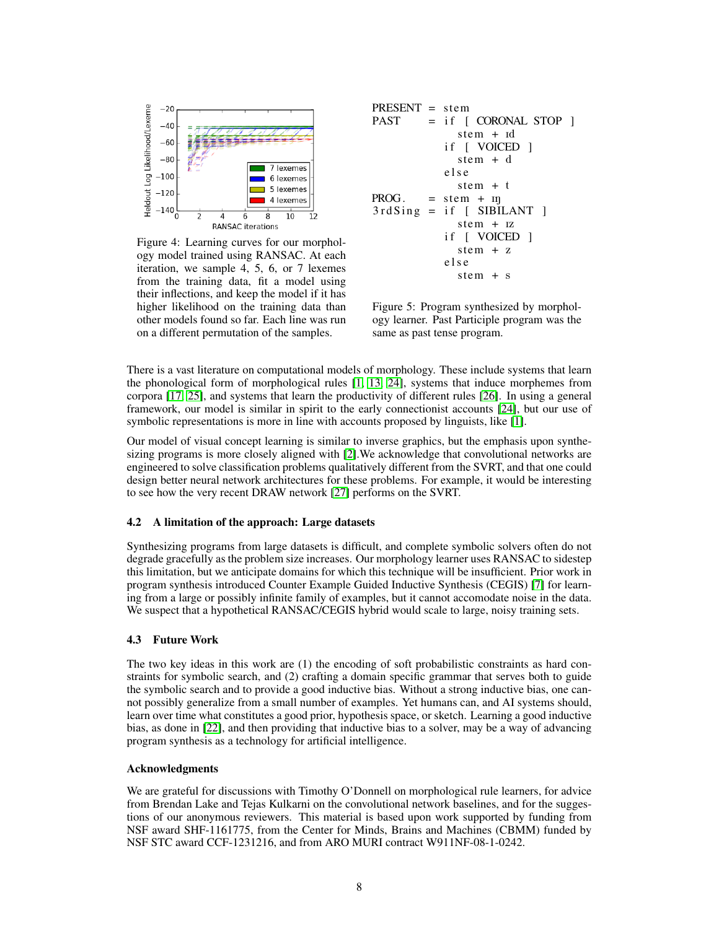

Figure 4: Learning curves for our morphology model trained using RANSAC. At each iteration, we sample 4, 5, 6, or 7 lexemes from the training data, fit a model using their inflections, and keep the model if it has higher likelihood on the training data than other models found so far. Each line was run on a different permutation of the samples.

PRESENT = stem

\n
$$
PAST = if [CORONAL STOP]
$$
\n
$$
stem + id
$$
\n
$$
if [VOLED]
$$
\n
$$
stem + d
$$
\n
$$
else
$$
\n
$$
stem + t
$$
\n
$$
PROG. = stem + mj
$$
\n
$$
3r dSing = if [SIBILANT]
$$
\n
$$
stem + rz
$$
\n
$$
if [VOICED]
$$
\n
$$
stem + z
$$
\n
$$
else
$$
\n
$$
stem + s
$$

Figure 5: Program synthesized by morphology learner. Past Participle program was the same as past tense program.

There is a vast literature on computational models of morphology. These include systems that learn the phonological form of morphological rules [1, 13, 24], systems that induce morphemes from corpora [17, 25], and systems that learn the productivity of different rules [26]. In using a general framework, our model is similar in spirit to the early connectionist accounts [24], but our use of symbolic representations is more in line with accounts proposed by linguists, like [1].

Our model of visual concept learning is similar to inverse graphics, but the emphasis upon synthesizing programs is more closely aligned with [2].We acknowledge that convolutional networks are engineered to solve classification problems qualitatively different from the SVRT, and that one could design better neural network architectures for these problems. For example, it would be interesting to see how the very recent DRAW network [27] performs on the SVRT.

#### 4.2 A limitation of the approach: Large datasets

Synthesizing programs from large datasets is difficult, and complete symbolic solvers often do not degrade gracefully as the problem size increases. Our morphology learner uses RANSAC to sidestep this limitation, but we anticipate domains for which this technique will be insufficient. Prior work in program synthesis introduced Counter Example Guided Inductive Synthesis (CEGIS) [7] for learning from a large or possibly infinite family of examples, but it cannot accomodate noise in the data. We suspect that a hypothetical RANSAC/CEGIS hybrid would scale to large, noisy training sets.

#### 4.3 Future Work

The two key ideas in this work are (1) the encoding of soft probabilistic constraints as hard constraints for symbolic search, and (2) crafting a domain specific grammar that serves both to guide the symbolic search and to provide a good inductive bias. Without a strong inductive bias, one cannot possibly generalize from a small number of examples. Yet humans can, and AI systems should, learn over time what constitutes a good prior, hypothesis space, or sketch. Learning a good inductive bias, as done in [22], and then providing that inductive bias to a solver, may be a way of advancing program synthesis as a technology for artificial intelligence.

#### Acknowledgments

We are grateful for discussions with Timothy O'Donnell on morphological rule learners, for advice from Brendan Lake and Tejas Kulkarni on the convolutional network baselines, and for the suggestions of our anonymous reviewers. This material is based upon work supported by funding from NSF award SHF-1161775, from the Center for Minds, Brains and Machines (CBMM) funded by NSF STC award CCF-1231216, and from ARO MURI contract W911NF-08-1-0242.